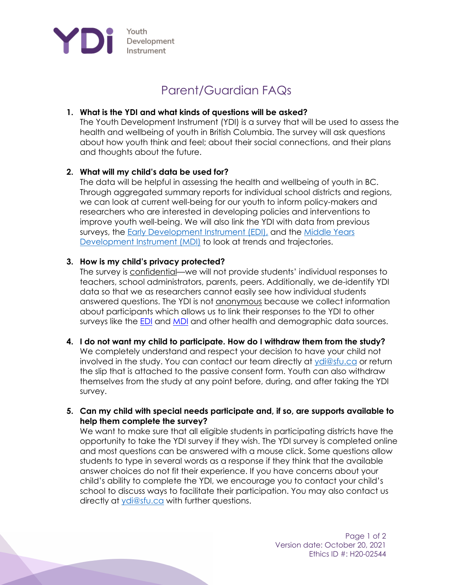

# Parent/Guardian FAQs

## **1. What is the YDI and what kinds of questions will be asked?**

The Youth Development Instrument (YDI) is a survey that will be used to assess the health and wellbeing of youth in British Columbia. The survey will ask questions about how youth think and feel; about their social connections, and their plans and thoughts about the future.

## **2. What will my child's data be used for?**

The data will be helpful in assessing the health and wellbeing of youth in BC. Through aggregated summary reports for individual school districts and regions, we can look at current well-being for our youth to inform policy-makers and researchers who are interested in developing policies and interventions to improve youth well-being. We will also link the YDI with data from previous surveys, the Early Development Instrument (EDI), and the Middle Years Development Instrument (MDI) to look at trends and trajectories.

## **3. How is my child's privacy protected?**

The survey is confidential—we will not provide students' individual responses to teachers, school administrators, parents, peers. Additionally, we de-identify YDI data so that we as researchers cannot easily see how individual students answered questions. The YDI is not anonymous because we collect information about participants which allows us to link their responses to the YDI to other surveys like the EDI and MDI and other health and demographic data sources.

#### **4. I do not want my child to participate. How do I withdraw them from the study?**

We completely understand and respect your decision to have your child not involved in the study. You can contact our team directly at ydi@sfu.ca or return the slip that is attached to the passive consent form. Youth can also withdraw themselves from the study at any point before, during, and after taking the YDI survey.

#### **5. Can my child with special needs participate and, if so, are supports available to help them complete the survey?**

We want to make sure that all eligible students in participating districts have the opportunity to take the YDI survey if they wish. The YDI survey is completed online and most questions can be answered with a mouse click. Some questions allow students to type in several words as a response if they think that the available answer choices do not fit their experience. If you have concerns about your child's ability to complete the YDI, we encourage you to contact your child's school to discuss ways to facilitate their participation. You may also contact us directly at ydi@sfu.ca with further questions.

> Page 1 of 2 Version date: October 20, 2021 Ethics ID #: H20-02544